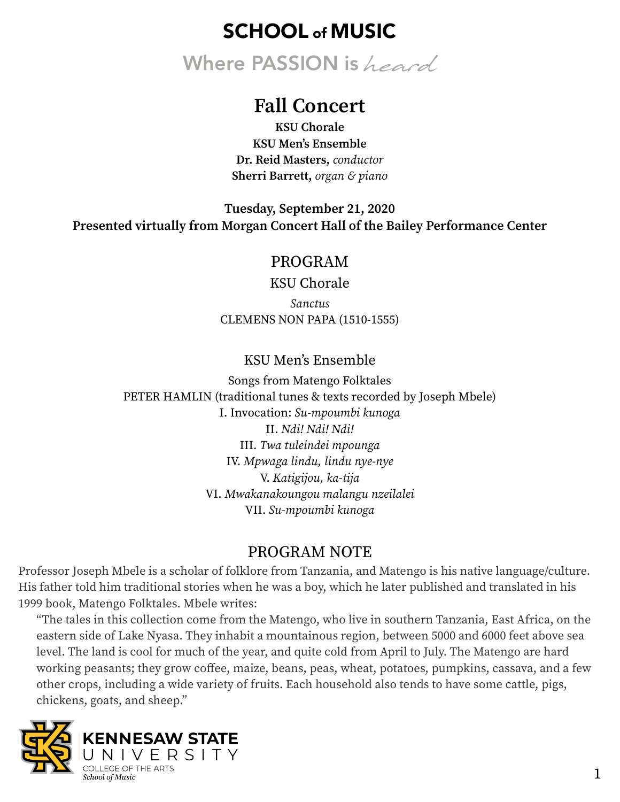Where PASSION is heard

## **Fall Concert**

**KSU Chorale KSU Men's Ensemble Dr. Reid Masters,** *conductor*  **Sherri Barrett,** *organ & piano* 

**Tuesday, September 21, 2020 Presented virtually from Morgan Concert Hall of the Bailey Performance Center**

### PROGRAM

KSU Chorale

*Sanctus* CLEMENS NON PAPA (1510-1555)

KSU Men's Ensemble

Songs from Matengo Folktales PETER HAMLIN (traditional tunes & texts recorded by Joseph Mbele) I. Invocation: *Su-mpoumbi kunoga* II. *Ndi! Ndi! Ndi!* III. *Twa tuleindei mpounga* IV. *Mpwaga lindu, lindu nye-nye* V. *Katigijou, ka-tija* VI. *Mwakanakoungou malangu nzeilalei* VII. *Su-mpoumbi kunoga* 

### PROGRAM NOTE

Professor Joseph Mbele is a scholar of folklore from Tanzania, and Matengo is his native language/culture. His father told him traditional stories when he was a boy, which he later published and translated in his 1999 book, Matengo Folktales. Mbele writes:

"The tales in this collection come from the Matengo, who live in southern Tanzania, East Africa, on the eastern side of Lake Nyasa. They inhabit a mountainous region, between 5000 and 6000 feet above sea level. The land is cool for much of the year, and quite cold from April to July. The Matengo are hard working peasants; they grow coffee, maize, beans, peas, wheat, potatoes, pumpkins, cassava, and a few other crops, including a wide variety of fruits. Each household also tends to have some cattle, pigs, chickens, goats, and sheep."

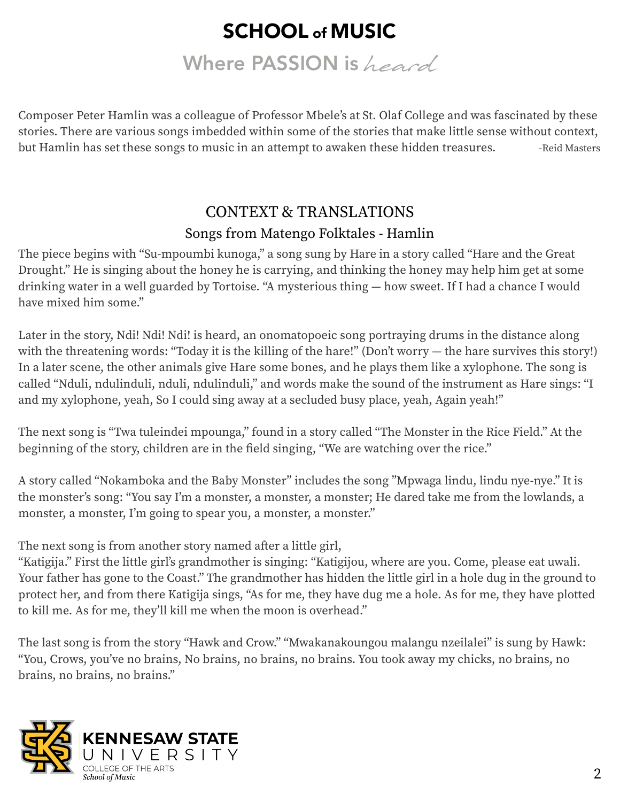Where PASSION is heard

Composer Peter Hamlin was a colleague of Professor Mbele's at St. Olaf College and was fascinated by these stories. There are various songs imbedded within some of the stories that make little sense without context, but Hamlin has set these songs to music in an attempt to awaken these hidden treasures. Theid Masters

## CONTEXT & TRANSLATIONS Songs from Matengo Folktales - Hamlin

The piece begins with "Su-mpoumbi kunoga," a song sung by Hare in a story called "Hare and the Great Drought." He is singing about the honey he is carrying, and thinking the honey may help him get at some drinking water in a well guarded by Tortoise. "A mysterious thing — how sweet. If I had a chance I would have mixed him some."

Later in the story, Ndi! Ndi! Ndi! is heard, an onomatopoeic song portraying drums in the distance along with the threatening words: "Today it is the killing of the hare!" (Don't worry — the hare survives this story!) In a later scene, the other animals give Hare some bones, and he plays them like a xylophone. The song is called "Nduli, ndulinduli, nduli, ndulinduli," and words make the sound of the instrument as Hare sings: "I and my xylophone, yeah, So I could sing away at a secluded busy place, yeah, Again yeah!"

The next song is "Twa tuleindei mpounga," found in a story called "The Monster in the Rice Field." At the beginning of the story, children are in the field singing, "We are watching over the rice."

A story called "Nokamboka and the Baby Monster" includes the song "Mpwaga lindu, lindu nye-nye." It is the monster's song: "You say I'm a monster, a monster, a monster; He dared take me from the lowlands, a monster, a monster, I'm going to spear you, a monster, a monster."

The next song is from another story named after a little girl,

"Katigija." First the little girl's grandmother is singing: "Katigijou, where are you. Come, please eat uwali. Your father has gone to the Coast." The grandmother has hidden the little girl in a hole dug in the ground to protect her, and from there Katigija sings, "As for me, they have dug me a hole. As for me, they have plotted to kill me. As for me, they'll kill me when the moon is overhead."

The last song is from the story "Hawk and Crow." "Mwakanakoungou malangu nzeilalei" is sung by Hawk: "You, Crows, you've no brains, No brains, no brains, no brains. You took away my chicks, no brains, no brains, no brains, no brains."

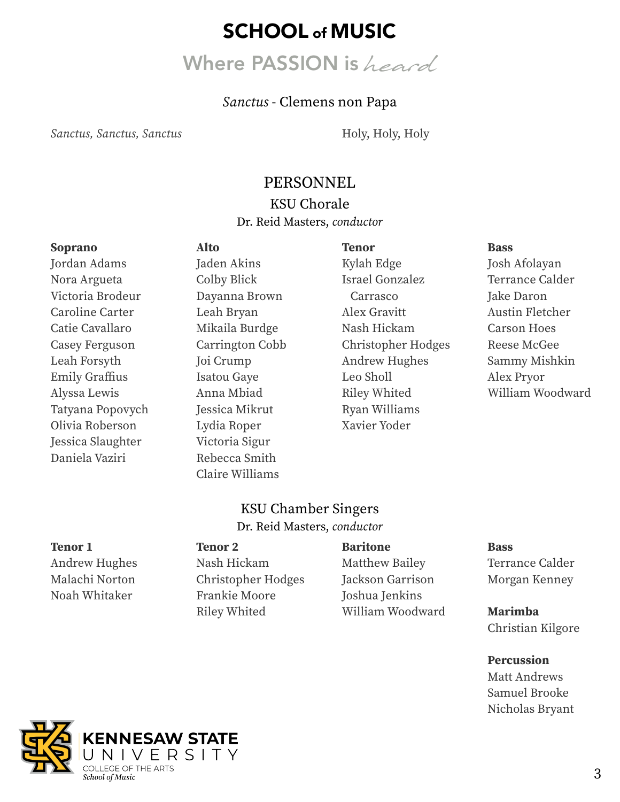# Where PASSION is heard

### *Sanctus* - Clemens non Papa

*Sanctus, Sanctus, Sanctus* **Holy, Holy, Holy**, Holy, Holy, Holy

### PERSONNEL

### KSU Chorale Dr. Reid Masters, *conductor*

#### **Soprano**

Jordan Adams Nora Argueta Victoria Brodeur Caroline Carter Catie Cavallaro Casey Ferguson Leah Forsyth Emily Graffius Alyssa Lewis Tatyana Popovych Olivia Roberson Jessica Slaughter Daniela Vaziri

**Alto**  Jaden Akins Colby Blick Dayanna Brown Leah Bryan Mikaila Burdge Carrington Cobb Joi Crump Isatou Gaye Anna Mbiad Jessica Mikrut Lydia Roper Victoria Sigur Rebecca Smith Claire Williams

**Tenor**  Kylah Edge Israel Gonzalez Carrasco Alex Gravitt Nash Hickam Christopher Hodges Andrew Hughes Leo Sholl Riley Whited Ryan Williams Xavier Yoder

#### **Bass**

Josh Afolayan Terrance Calder Jake Daron Austin Fletcher Carson Hoes Reese McGee Sammy Mishkin Alex Pryor William Woodward

### KSU Chamber Singers Dr. Reid Masters, *conductor*

#### **Tenor 1**

Andrew Hughes Malachi Norton Noah Whitaker

#### **Tenor 2**

Nash Hickam Christopher Hodges Frankie Moore Riley Whited

#### **Baritone**

Matthew Bailey Jackson Garrison Joshua Jenkins William Woodward

#### **Bass**

Terrance Calder Morgan Kenney

**Marimba**  Christian Kilgore

**Percussion** 

Matt Andrews Samuel Brooke Nicholas Bryant

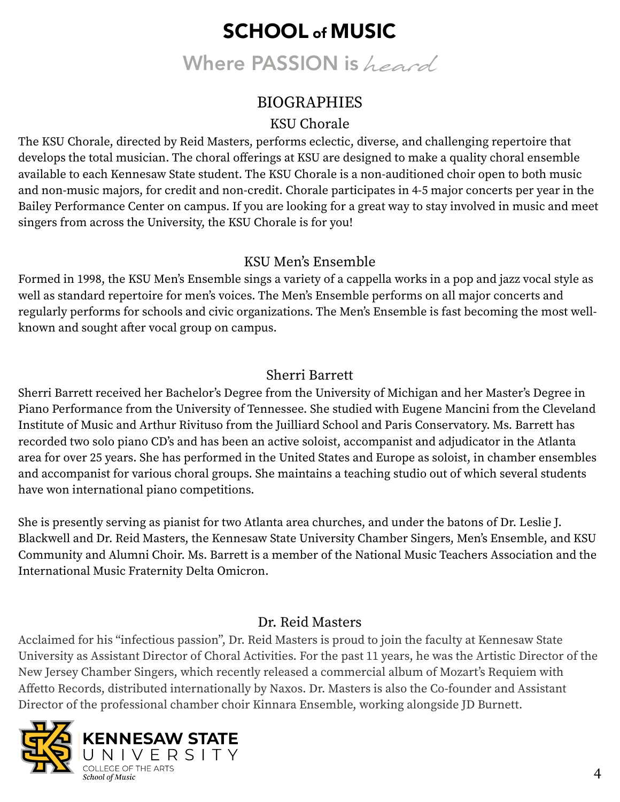Where PASSION is heard

## **BIOGRAPHIES**

## KSU Chorale

The KSU Chorale, directed by Reid Masters, performs eclectic, diverse, and challenging repertoire that develops the total musician. The choral offerings at KSU are designed to make a quality choral ensemble available to each Kennesaw State student. The KSU Chorale is a non-auditioned choir open to both music and non-music majors, for credit and non-credit. Chorale participates in 4-5 major concerts per year in the Bailey Performance Center on campus. If you are looking for a great way to stay involved in music and meet singers from across the University, the KSU Chorale is for you!

## KSU Men's Ensemble

Formed in 1998, the KSU Men's Ensemble sings a variety of a cappella works in a pop and jazz vocal style as well as standard repertoire for men's voices. The Men's Ensemble performs on all major concerts and regularly performs for schools and civic organizations. The Men's Ensemble is fast becoming the most wellknown and sought after vocal group on campus.

## Sherri Barrett

Sherri Barrett received her Bachelor's Degree from the University of Michigan and her Master's Degree in Piano Performance from the University of Tennessee. She studied with Eugene Mancini from the Cleveland Institute of Music and Arthur Rivituso from the Juilliard School and Paris Conservatory. Ms. Barrett has recorded two solo piano CD's and has been an active soloist, accompanist and adjudicator in the Atlanta area for over 25 years. She has performed in the United States and Europe as soloist, in chamber ensembles and accompanist for various choral groups. She maintains a teaching studio out of which several students have won international piano competitions.

She is presently serving as pianist for two Atlanta area churches, and under the batons of Dr. Leslie J. Blackwell and Dr. Reid Masters, the Kennesaw State University Chamber Singers, Men's Ensemble, and KSU Community and Alumni Choir. Ms. Barrett is a member of the National Music Teachers Association and the International Music Fraternity Delta Omicron.

## Dr. Reid Masters

Acclaimed for his "infectious passion", Dr. Reid Masters is proud to join the faculty at Kennesaw State University as Assistant Director of Choral Activities. For the past 11 years, he was the Artistic Director of the New Jersey Chamber Singers, which recently released a commercial album of Mozart's Requiem with Affetto Records, distributed internationally by Naxos. Dr. Masters is also the Co-founder and Assistant Director of the professional chamber choir Kinnara Ensemble, working alongside JD Burnett.